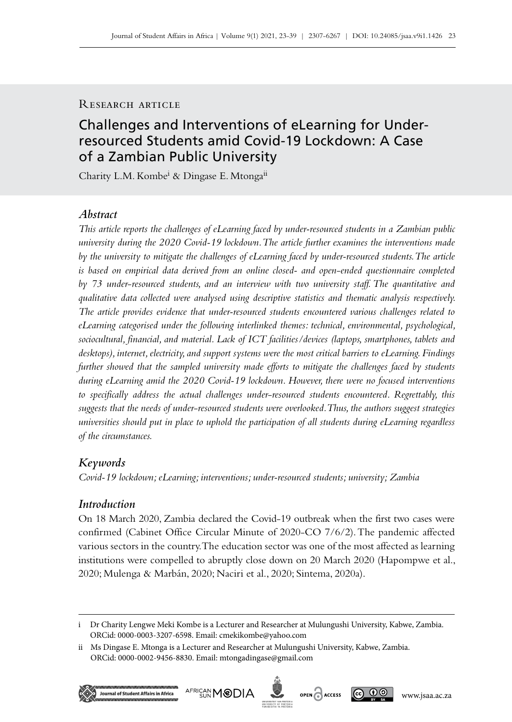# RESEARCH ARTICLE

# Challenges and Interventions of eLearning for Underresourced Students amid Covid-19 Lockdown: A Case of a Zambian Public University

Charity L.M. Kombe<sup>i</sup> & Dingase E. Mtonga<sup>ii</sup>

# *Abstract*

*This article reports the challenges of eLearning faced by under-resourced students in a Zambian public university during the 2020 Covid-19 lockdown. The article further examines the interventions made by the university to mitigate the challenges of eLearning faced by under-resourced students. The article is based on empirical data derived from an online closed- and open*-*ended questionnaire completed by 73 under*-*resourced students, and an interview with two university staff. The quantitative and qualitative data collected were analysed using descriptive statistics and thematic analysis respectively. The article provides evidence that under-resourced students encountered various challenges related to eLearning categorised under the following interlinked themes: technical, environmental, psychological, sociocultural, financial, and material. Lack of ICT facilities/devices (laptops, smartphones, tablets and desktops), internet, electricity, and support systems were the most critical barriers to eLearning. Findings further showed that the sampled university made efforts to mitigate the challenges faced by students during eLearning amid the 2020 Covid-19 lockdown. However, there were no focused interventions to specifically address the actual challenges under*-*resourced students encountered. Regrettably, this suggests that the needs of under*-*resourced students were overlooked. Thus, the authors suggest strategies universities should put in place to uphold the participation of all students during eLearning regardless of the circumstances.* 

# *Keywords*

*Covid-19 lockdown; eLearning; interventions; under-resourced students; university; Zambia*

# *Introduction*

On 18 March 2020, Zambia declared the Covid-19 outbreak when the first two cases were confirmed (Cabinet Office Circular Minute of 2020-CO 7/6/2). The pandemic affected various sectors in the country. The education sector was one of the most affected as learning institutions were compelled to abruptly close down on 20 March 2020 (Hapompwe et al., 2020; Mulenga & Marbán, 2020; Naciri et al., 2020; Sintema, 2020a).

ii Ms Dingase E. Mtonga is a Lecturer and Researcher at Mulungushi University, Kabwe, Zambia. ORCid: 0000-0002-9456-8830. Email: [mtongadingase@gmail.com](mailto:mtongadingase%40gmail.com?subject=)







i Dr Charity Lengwe Meki Kombe is a Lecturer and Researcher at Mulungushi University, Kabwe, Zambia. ORCid: 0000-0003-3207-6598. Email: [cmekikombe@yahoo.com](mailto:cmekikombe%40yahoo.com?subject=)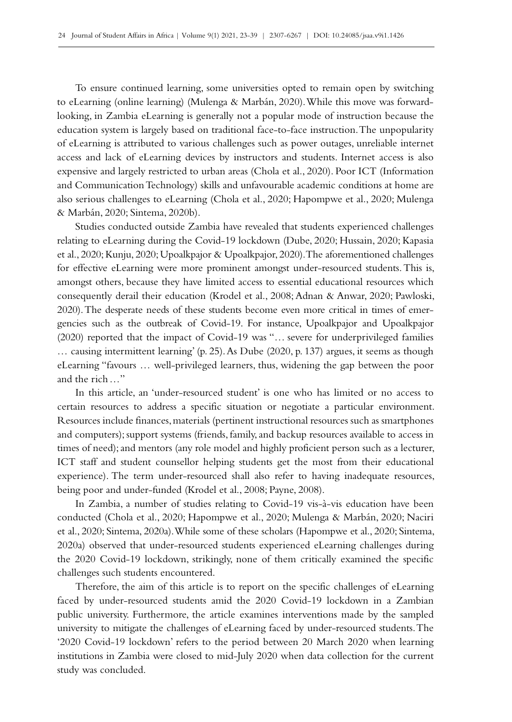To ensure continued learning, some universities opted to remain open by switching to eLearning (online learning) (Mulenga & Marbán, 2020). While this move was forwardlooking, in Zambia eLearning is generally not a popular mode of instruction because the education system is largely based on traditional face-to-face instruction. The unpopularity of eLearning is attributed to various challenges such as power outages, unreliable internet access and lack of eLearning devices by instructors and students. Internet access is also expensive and largely restricted to urban areas (Chola et al., 2020). Poor ICT (Information and Communication Technology) skills and unfavourable academic conditions at home are also serious challenges to eLearning (Chola et al., 2020; Hapompwe et al., 2020; Mulenga & Marbán, 2020; Sintema, 2020b).

Studies conducted outside Zambia have revealed that students experienced challenges relating to eLearning during the Covid‑19 lockdown (Dube, 2020; Hussain, 2020; Kapasia et al., 2020; Kunju, 2020; Upoalkpajor & Upoalkpajor, 2020). The aforementioned challenges for effective eLearning were more prominent amongst under-resourced students. This is, amongst others, because they have limited access to essential educational resources which consequently derail their education (Krodel et al., 2008; Adnan & Anwar, 2020; Pawloski, 2020). The desperate needs of these students become even more critical in times of emer– gencies such as the outbreak of Covid-19. For instance, Upoalkpajor and Upoalkpajor (2020) reported that the impact of Covid–19 was "... severe for underprivileged families … causing intermittent learning' (p. 25). As Dube (2020, p. 137) argues, it seems as though eLearning "favours … well-privileged learners, thus, widening the gap between the poor and the rich…"

In this article, an 'under-resourced student' is one who has limited or no access to certain resources to address a specific situation or negotiate a particular environment. Resources include finances, materials (pertinent instructional resources such as smartphones and computers); support systems (friends, family, and backup resources available to access in times of need); and mentors (any role model and highly proficient person such as a lecturer, ICT staff and student counsellor helping students get the most from their educational experience). The term under-resourced shall also refer to having inadequate resources, being poor and under-funded (Krodel et al., 2008; Payne, 2008).

In Zambia, a number of studies relating to Covid-19 vis-à-vis education have been conducted (Chola et al., 2020; Hapompwe et al., 2020; Mulenga & Marbán, 2020; Naciri et al., 2020; Sintema, 2020a). While some of these scholars (Hapompwe et al., 2020; Sintema, 2020a) observed that under-resourced students experienced eLearning challenges during the 2020 Covid-19 lockdown, strikingly, none of them critically examined the specific challenges such students encountered.

Therefore, the aim of this article is to report on the specific challenges of eLearning faced by under-resourced students amid the 2020 Covid-19 lockdown in a Zambian public university. Furthermore, the article examines interventions made by the sampled university to mitigate the challenges of eLearning faced by under-resourced students. The '2020 Covid‑19 lockdown' refers to the period between 20 March 2020 when learning institutions in Zambia were closed to mid-July 2020 when data collection for the current study was concluded.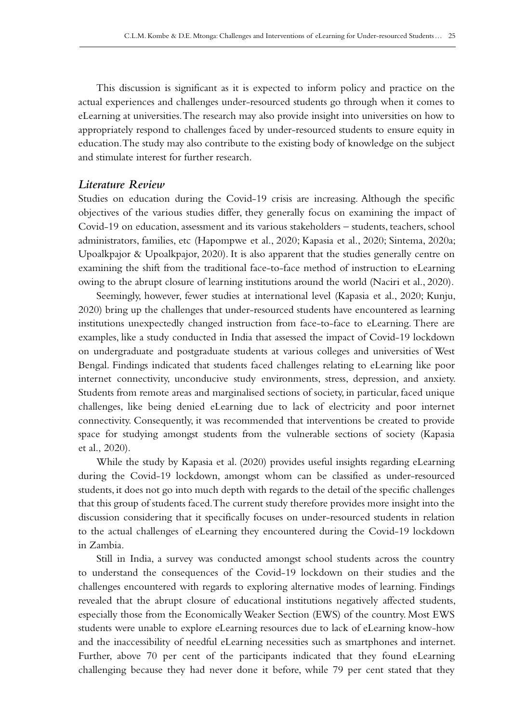This discussion is significant as it is expected to inform policy and practice on the actual experiences and challenges under-resourced students go through when it comes to eLearning at universities. The research may also provide insight into universities on how to appropriately respond to challenges faced by under-resourced students to ensure equity in education. The study may also contribute to the existing body of knowledge on the subject and stimulate interest for further research.

## *Literature Review*

Studies on education during the Covid‑19 crisis are increasing. Although the specific objectives of the various studies differ, they generally focus on examining the impact of Covid‑19 on education, assessment and its various stakeholders – students, teachers, school administrators, families, etc (Hapompwe et al., 2020; Kapasia et al., 2020; Sintema, 2020a; Upoalkpajor & Upoalkpajor, 2020). It is also apparent that the studies generally centre on examining the shift from the traditional face-to-face method of instruction to eLearning owing to the abrupt closure of learning institutions around the world (Naciri et al., 2020).

Seemingly, however, fewer studies at international level (Kapasia et al., 2020; Kunju, 2020) bring up the challenges that under-resourced students have encountered as learning institutions unexpectedly changed instruction from face-to-face to eLearning. There are examples, like a study conducted in India that assessed the impact of Covid-19 lockdown on undergraduate and postgraduate students at various colleges and universities of West Bengal. Findings indicated that students faced challenges relating to eLearning like poor internet connectivity, unconducive study environments, stress, depression, and anxiety. Students from remote areas and marginalised sections of society, in particular, faced unique challenges, like being denied eLearning due to lack of electricity and poor internet connectivity. Consequently, it was recommended that interventions be created to provide space for studying amongst students from the vulnerable sections of society (Kapasia et al., 2020).

While the study by Kapasia et al. (2020) provides useful insights regarding eLearning during the Covid-19 lockdown, amongst whom can be classified as under-resourced students, it does not go into much depth with regards to the detail of the specific challenges that this group of students faced. The current study therefore provides more insight into the discussion considering that it specifically focuses on under-resourced students in relation to the actual challenges of eLearning they encountered during the Covid-19 lockdown in Zambia.

Still in India, a survey was conducted amongst school students across the country to understand the consequences of the Covid‑19 lockdown on their studies and the challenges encountered with regards to exploring alternative modes of learning. Findings revealed that the abrupt closure of educational institutions negatively affected students, especially those from the Economically Weaker Section (EWS) of the country. Most EWS students were unable to explore eLearning resources due to lack of eLearning know-how and the inaccessibility of needful eLearning necessities such as smartphones and internet. Further, above 70 per cent of the participants indicated that they found eLearning challenging because they had never done it before, while 79 per cent stated that they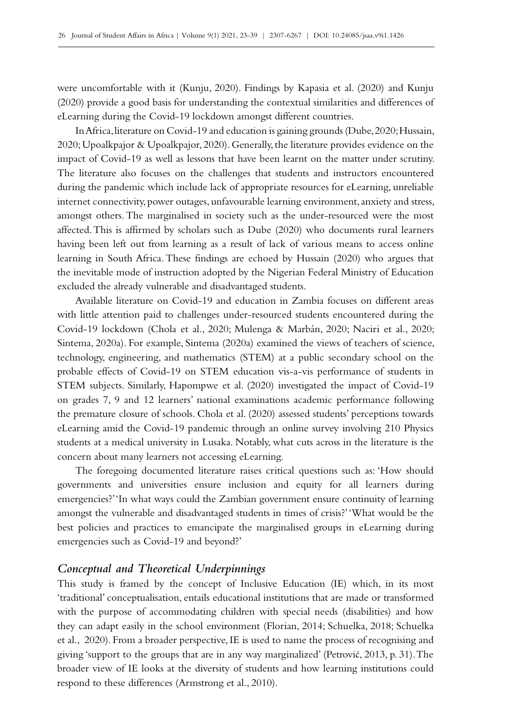were uncomfortable with it (Kunju, 2020). Findings by Kapasia et al. (2020) and Kunju (2020) provide a good basis for understanding the contextual similarities and differences of eLearning during the Covid-19 lockdown amongst different countries.

In Africa, literature on Covid-19 and education is gaining grounds (Dube, 2020; Hussain, 2020; Upoalkpajor & Upoalkpajor, 2020). Generally, the literature provides evidence on the impact of Covid–19 as well as lessons that have been learnt on the matter under scrutiny. The literature also focuses on the challenges that students and instructors encountered during the pandemic which include lack of appropriate resources for eLearning, unreliable internet connectivity, power outages, unfavourable learning environment, anxiety and stress, amongst others. The marginalised in society such as the under-resourced were the most affected. This is affirmed by scholars such as Dube (2020) who documents rural learners having been left out from learning as a result of lack of various means to access online learning in South Africa. These findings are echoed by Hussain (2020) who argues that the inevitable mode of instruction adopted by the Nigerian Federal Ministry of Education excluded the already vulnerable and disadvantaged students.

Available literature on Covid‑19 and education in Zambia focuses on different areas with little attention paid to challenges under-resourced students encountered during the Covid‑19 lockdown (Chola et al., 2020; Mulenga & Marbán, 2020; Naciri et al., 2020; Sintema, 2020a). For example, Sintema (2020a) examined the views of teachers of science, technology, engineering, and mathematics (STEM) at a public secondary school on the probable effects of Covid-19 on STEM education vis-a-vis performance of students in STEM subjects. Similarly, Hapompwe et al. (2020) investigated the impact of Covid-19 on grades 7, 9 and 12 learners' national examinations academic performance following the premature closure of schools. Chola et al. (2020) assessed students' perceptions towards eLearning amid the Covid‑19 pandemic through an online survey involving 210 Physics students at a medical university in Lusaka. Notably, what cuts across in the literature is the concern about many learners not accessing eLearning.

The foregoing documented literature raises critical questions such as: 'How should governments and universities ensure inclusion and equity for all learners during emergencies?' 'In what ways could the Zambian government ensure continuity of learning amongst the vulnerable and disadvantaged students in times of crisis?' 'What would be the best policies and practices to emancipate the marginalised groups in eLearning during emergencies such as Covid-19 and beyond?'

#### *Conceptual and Theoretical Underpinnings*

This study is framed by the concept of Inclusive Education (IE) which, in its most 'traditional' conceptualisation, entails educational institutions that are made or transformed with the purpose of accommodating children with special needs (disabilities) and how they can adapt easily in the school environment (Florian, 2014; Schuelka, 2018; Schuelka et al., 2020). From a broader perspective, IE is used to name the process of recognising and giving 'support to the groups that are in any way marginalized' (Petrović, 2013, p. 31). The broader view of IE looks at the diversity of students and how learning institutions could respond to these differences (Armstrong et al., 2010).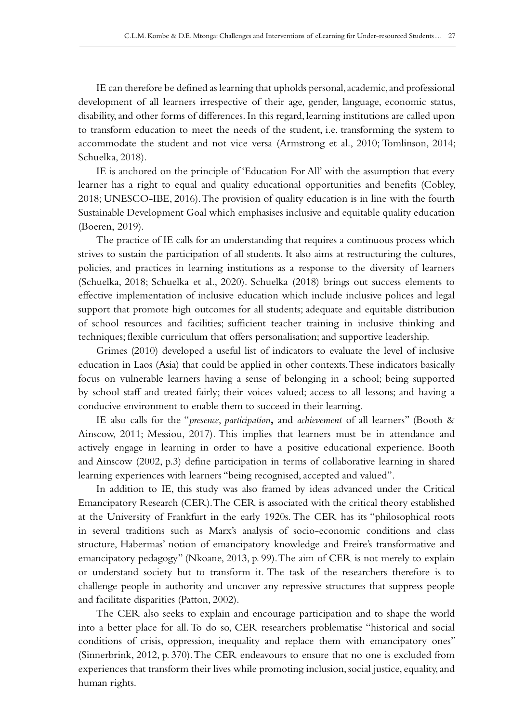IE can therefore be defined as learning that upholds personal, academic, and professional development of all learners irrespective of their age, gender, language, economic status, disability, and other forms of differences. In this regard, learning institutions are called upon to transform education to meet the needs of the student, i.e. transforming the system to accommodate the student and not vice versa (Armstrong et al., 2010; Tomlinson, 2014; Schuelka, 2018).

IE is anchored on the principle of 'Education For All' with the assumption that every learner has a right to equal and quality educational opportunities and benefits (Cobley, 2018; UNESCO-IBE, 2016). The provision of quality education is in line with the fourth Sustainable Development Goal which emphasises inclusive and equitable quality education (Boeren, 2019).

The practice of IE calls for an understanding that requires a continuous process which strives to sustain the participation of all students. It also aims at restructuring the cultures, policies, and practices in learning institutions as a response to the diversity of learners (Schuelka, 2018; Schuelka et al., 2020). Schuelka (2018) brings out success elements to effective implementation of inclusive education which include inclusive polices and legal support that promote high outcomes for all students; adequate and equitable distribution of school resources and facilities; sufficient teacher training in inclusive thinking and techniques; flexible curriculum that offers personalisation; and supportive leadership.

Grimes (2010) developed a useful list of indicators to evaluate the level of inclusive education in Laos (Asia) that could be applied in other contexts. These indicators basically focus on vulnerable learners having a sense of belonging in a school; being supported by school staff and treated fairly; their voices valued; access to all lessons; and having a conducive environment to enable them to succeed in their learning.

IE also calls for the "*presence*, *participation***,** and *achievement* of all learners" (Booth & Ainscow, 2011; Messiou, 2017). This implies that learners must be in attendance and actively engage in learning in order to have a positive educational experience. Booth and Ainscow (2002, p.3) define participation in terms of collaborative learning in shared learning experiences with learners "being recognised, accepted and valued".

In addition to IE, this study was also framed by ideas advanced under the Critical Emancipatory Research (CER). The CER is associated with the critical theory established at the University of Frankfurt in the early 1920s. The CER has its "philosophical roots in several traditions such as Marx's analysis of socio-economic conditions and class structure, Habermas' notion of emancipatory knowledge and Freire's transformative and emancipatory pedagogy" (Nkoane, 2013, p. 99). The aim of CER is not merely to explain or understand society but to transform it. The task of the researchers therefore is to challenge people in authority and uncover any repressive structures that suppress people and facilitate disparities (Patton, 2002).

The CER also seeks to explain and encourage participation and to shape the world into a better place for all. To do so, CER researchers problematise "historical and social conditions of crisis, oppression, inequality and replace them with emancipatory ones" (Sinnerbrink, 2012, p. 370). The CER endeavours to ensure that no one is excluded from experiences that transform their lives while promoting inclusion, social justice, equality, and human rights.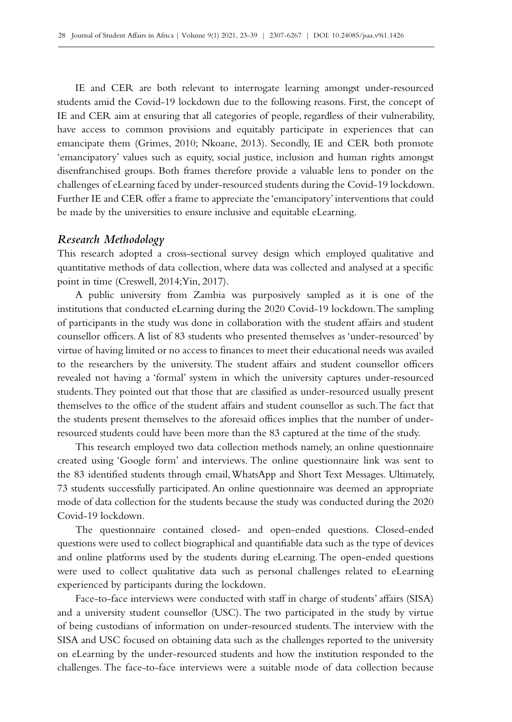IE and CER are both relevant to interrogate learning amongst under-resourced students amid the Covid‑19 lockdown due to the following reasons. First, the concept of IE and CER aim at ensuring that all categories of people, regardless of their vulnerability, have access to common provisions and equitably participate in experiences that can emancipate them (Grimes, 2010; Nkoane, 2013). Secondly, IE and CER both promote 'emancipatory' values such as equity, social justice, inclusion and human rights amongst disenfranchised groups. Both frames therefore provide a valuable lens to ponder on the challenges of eLearning faced by under-resourced students during the Covid-19 lockdown. Further IE and CER offer a frame to appreciate the 'emancipatory' interventions that could be made by the universities to ensure inclusive and equitable eLearning.

## *Research Methodology*

This research adopted a cross-sectional survey design which employed qualitative and quantitative methods of data collection, where data was collected and analysed at a specific point in time (Creswell, 2014; Yin, 2017).

A public university from Zambia was purposively sampled as it is one of the institutions that conducted eLearning during the 2020 Covid–19 lockdown. The sampling of participants in the study was done in collaboration with the student affairs and student counsellor officers. A list of 83 students who presented themselves as 'under-resourced' by virtue of having limited or no access to finances to meet their educational needs was availed to the researchers by the university. The student affairs and student counsellor officers revealed not having a 'formal' system in which the university captures under-resourced students. They pointed out that those that are classified as under-resourced usually present themselves to the office of the student affairs and student counsellor as such. The fact that the students present themselves to the aforesaid offices implies that the number of underresourced students could have been more than the 83 captured at the time of the study.

This research employed two data collection methods namely, an online questionnaire created using 'Google form' and interviews. The online questionnaire link was sent to the 83 identified students through email, WhatsApp and Short Text Messages. Ultimately, 73 students successfully participated. An online questionnaire was deemed an appropriate mode of data collection for the students because the study was conducted during the 2020 Covid‑19 lockdown.

The questionnaire contained closed- and open-ended questions. Closed-ended questions were used to collect biographical and quantifiable data such as the type of devices and online platforms used by the students during eLearning. The open-ended questions were used to collect qualitative data such as personal challenges related to eLearning experienced by participants during the lockdown.

Face-to-face interviews were conducted with staff in charge of students' affairs (SISA) and a university student counsellor (USC). The two participated in the study by virtue of being custodians of information on under-resourced students. The interview with the SISA and USC focused on obtaining data such as the challenges reported to the university on eLearning by the under-resourced students and how the institution responded to the challenges. The face-to-face interviews were a suitable mode of data collection because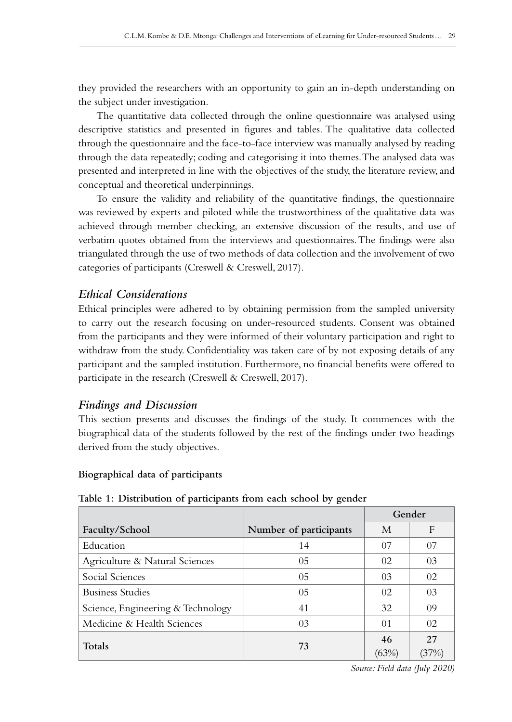they provided the researchers with an opportunity to gain an in‑depth understanding on the subject under investigation.

The quantitative data collected through the online questionnaire was analysed using descriptive statistics and presented in figures and tables. The qualitative data collected through the questionnaire and the face-to-face interview was manually analysed by reading through the data repeatedly; coding and categorising it into themes. The analysed data was presented and interpreted in line with the objectives of the study, the literature review, and conceptual and theoretical underpinnings.

To ensure the validity and reliability of the quantitative findings, the questionnaire was reviewed by experts and piloted while the trustworthiness of the qualitative data was achieved through member checking, an extensive discussion of the results, and use of verbatim quotes obtained from the interviews and questionnaires. The findings were also triangulated through the use of two methods of data collection and the involvement of two categories of participants (Creswell & Creswell, 2017).

# *Ethical Considerations*

Ethical principles were adhered to by obtaining permission from the sampled university to carry out the research focusing on under-resourced students. Consent was obtained from the participants and they were informed of their voluntary participation and right to withdraw from the study. Confidentiality was taken care of by not exposing details of any participant and the sampled institution. Furthermore, no financial benefits were offered to participate in the research (Creswell & Creswell, 2017).

# *Findings and Discussion*

This section presents and discusses the findings of the study. It commences with the biographical data of the students followed by the rest of the findings under two headings derived from the study objectives.

#### **Biographical data of participants**

|                                   |                        | Gender |    |
|-----------------------------------|------------------------|--------|----|
| Faculty/School                    | Number of participants | M      | F  |
| Education                         | 14                     | 07     | 07 |
| Agriculture & Natural Sciences    | 0 <sub>5</sub>         | 02     | 03 |
| Social Sciences                   | 0 <sub>5</sub>         | 03     | 02 |
| <b>Business Studies</b>           | 05                     | 02     | 03 |
| Science, Engineering & Technology | 41                     | 32     | 09 |
| Medicine & Health Sciences        | 0 <sub>3</sub>         | 01     | 02 |
| <b>Totals</b>                     | 73                     | 46     | 27 |
|                                   |                        | (63%)  |    |

**Table 1: Distribution of participants from each school by gender**

*Source: Field data (July 2020)*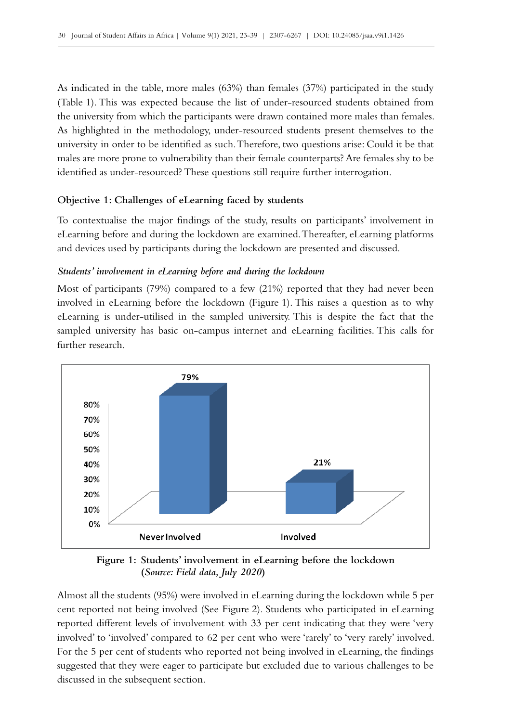As indicated in the table, more males (63%) than females (37%) participated in the study (Table 1). This was expected because the list of under-resourced students obtained from the university from which the participants were drawn contained more males than females. As highlighted in the methodology, under-resourced students present themselves to the university in order to be identified as such. Therefore, two questions arise: Could it be that males are more prone to vulnerability than their female counterparts? Are females shy to be identified as under-resourced? These questions still require further interrogation.

## **Objective 1: Challenges of eLearning faced by students**

To contextualise the major findings of the study, results on participants' involvement in eLearning before and during the lockdown are examined. Thereafter, eLearning platforms and devices used by participants during the lockdown are presented and discussed.

#### *Students' involvement in eLearning before and during the lockdown*

Most of participants (79%) compared to a few (21%) reported that they had never been involved in eLearning before the lockdown (Figure 1). This raises a question as to why eLearning is under-utilised in the sampled university. This is despite the fact that the sampled university has basic on-campus internet and eLearning facilities. This calls for further research.



**Figure 1: Students' involvement in eLearning before the lockdown (***Source: Field data, July 2020***)**

Almost all the students (95%) were involved in eLearning during the lockdown while 5 per cent reported not being involved (See Figure 2). Students who participated in eLearning reported different levels of involvement with 33 per cent indicating that they were 'very involved' to 'involved' compared to 62 per cent who were 'rarely' to 'very rarely' involved. For the 5 per cent of students who reported not being involved in eLearning, the findings suggested that they were eager to participate but excluded due to various challenges to be discussed in the subsequent section.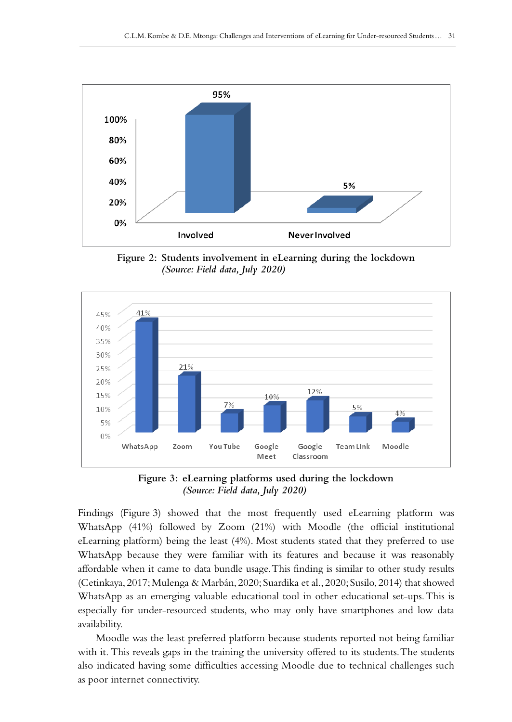

**Figure 2: Students involvement in eLearning during the lockdown**  *(Source: Field data, July 2020)*



**Figure 3: eLearning platforms used during the lockdown**  *(Source: Field data, July 2020)*

Findings (Figure 3) showed that the most frequently used eLearning platform was WhatsApp (41%) followed by Zoom (21%) with Moodle (the official institutional eLearning platform) being the least (4%). Most students stated that they preferred to use WhatsApp because they were familiar with its features and because it was reasonably affordable when it came to data bundle usage. This finding is similar to other study results (Cetinkaya, 2017; Mulenga & Marbán, 2020; Suardika et al., 2020; Susilo, 2014) that showed WhatsApp as an emerging valuable educational tool in other educational set‑ups. This is especially for under-resourced students, who may only have smartphones and low data availability.

Moodle was the least preferred platform because students reported not being familiar with it. This reveals gaps in the training the university offered to its students. The students also indicated having some difficulties accessing Moodle due to technical challenges such as poor internet connectivity.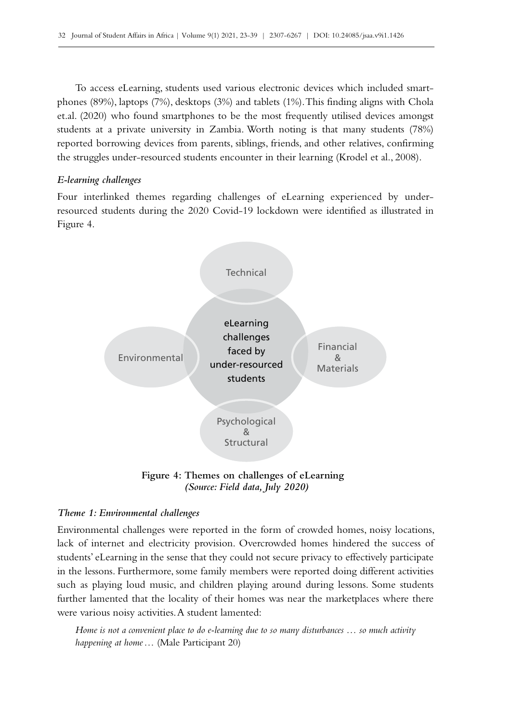To access eLearning, students used various electronic devices which included smartphones (89%), laptops (7%), desktops (3%) and tablets (1%). This finding aligns with Chola et.al. (2020) who found smartphones to be the most frequently utilised devices amongst students at a private university in Zambia. Worth noting is that many students (78%) reported borrowing devices from parents, siblings, friends, and other relatives, confirming the struggles under-resourced students encounter in their learning (Krodel et al., 2008).

#### *E‑learning challenges*

Four interlinked themes regarding challenges of eLearning experienced by underresourced students during the 2020 Covid‑19 lockdown were identified as illustrated in Figure 4.



**Figure 4: Themes on challenges of eLearning**  *(Source: Field data, July 2020)*

#### *Theme 1: Environmental challenges*

Environmental challenges were reported in the form of crowded homes, noisy locations, lack of internet and electricity provision. Overcrowded homes hindered the success of students' eLearning in the sense that they could not secure privacy to effectively participate in the lessons. Furthermore, some family members were reported doing different activities such as playing loud music, and children playing around during lessons. Some students further lamented that the locality of their homes was near the marketplaces where there were various noisy activities. A student lamented:

*Home is not a convenient place to do e-learning due to so many disturbances … so much activity happening at home…* (Male Participant 20)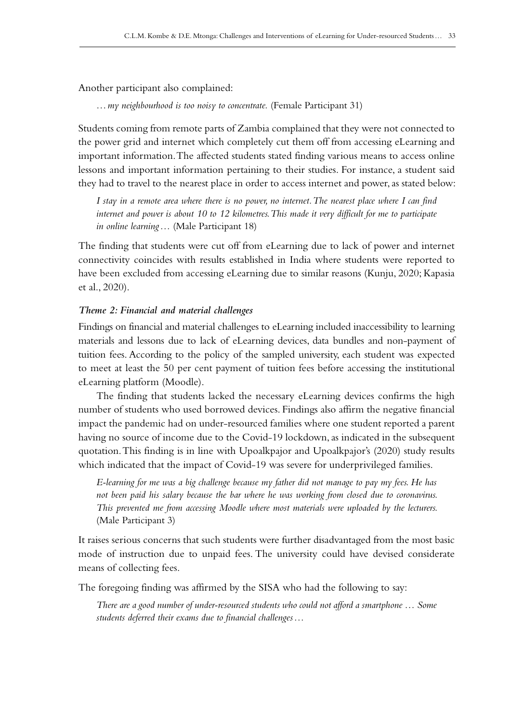Another participant also complained:

*…my neighbourhood is too noisy to concentrate.* (Female Participant 31)

Students coming from remote parts of Zambia complained that they were not connected to the power grid and internet which completely cut them off from accessing eLearning and important information. The affected students stated finding various means to access online lessons and important information pertaining to their studies. For instance, a student said they had to travel to the nearest place in order to access internet and power, as stated below:

*I stay in a remote area where there is no power, no internet. The nearest place where I can find internet and power is about 10 to 12 kilometres. This made it very difficult for me to participate in online learning…* (Male Participant 18)

The finding that students were cut off from eLearning due to lack of power and internet connectivity coincides with results established in India where students were reported to have been excluded from accessing eLearning due to similar reasons (Kunju, 2020; Kapasia et al., 2020).

#### *Theme 2: Financial and material challenges*

Findings on financial and material challenges to eLearning included inaccessibility to learning materials and lessons due to lack of eLearning devices, data bundles and non-payment of tuition fees. According to the policy of the sampled university, each student was expected to meet at least the 50 per cent payment of tuition fees before accessing the institutional eLearning platform (Moodle).

The finding that students lacked the necessary eLearning devices confirms the high number of students who used borrowed devices. Findings also affirm the negative financial impact the pandemic had on under-resourced families where one student reported a parent having no source of income due to the Covid–19 lockdown, as indicated in the subsequent quotation. This finding is in line with Upoalkpajor and Upoalkpajor's (2020) study results which indicated that the impact of Covid–19 was severe for underprivileged families.

*E-learning for me was a big challenge because my father did not manage to pay my fees. He has not been paid his salary because the bar where he was working from closed due to coronavirus. This prevented me from accessing Moodle where most materials were uploaded by the lecturers.*  (Male Participant 3)

It raises serious concerns that such students were further disadvantaged from the most basic mode of instruction due to unpaid fees. The university could have devised considerate means of collecting fees.

The foregoing finding was affirmed by the SISA who had the following to say:

*There are a good number of under-resourced students who could not afford a smartphone … Some students deferred their exams due to financial challenges…*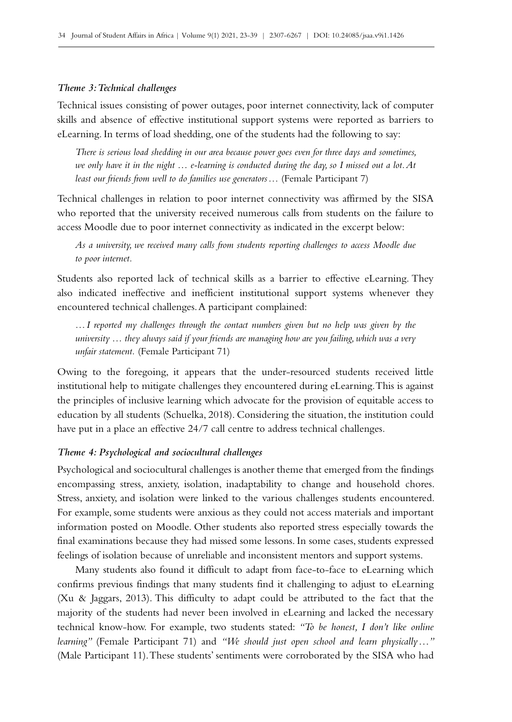#### *Theme 3: Technical challenges*

Technical issues consisting of power outages, poor internet connectivity, lack of computer skills and absence of effective institutional support systems were reported as barriers to eLearning. In terms of load shedding, one of the students had the following to say:

*There is serious load shedding in our area because power goes even for three days and sometimes, we only have it in the night … e-learning is conducted during the day, so I missed out a lot. At least our friends from well to do families use generators…* (Female Participant 7)

Technical challenges in relation to poor internet connectivity was affirmed by the SISA who reported that the university received numerous calls from students on the failure to access Moodle due to poor internet connectivity as indicated in the excerpt below:

*As a university, we received many calls from students reporting challenges to access Moodle due to poor internet.* 

Students also reported lack of technical skills as a barrier to effective eLearning. They also indicated ineffective and inefficient institutional support systems whenever they encountered technical challenges. A participant complained:

*…I reported my challenges through the contact numbers given but no help was given by the university … they always said if your friends are managing how are you failing, which was a very unfair statement.* (Female Participant 71)

Owing to the foregoing, it appears that the under-resourced students received little institutional help to mitigate challenges they encountered during eLearning. This is against the principles of inclusive learning which advocate for the provision of equitable access to education by all students (Schuelka, 2018). Considering the situation, the institution could have put in a place an effective 24/7 call centre to address technical challenges.

#### *Theme 4: Psychological and sociocultural challenges*

Psychological and sociocultural challenges is another theme that emerged from the findings encompassing stress, anxiety, isolation, inadaptability to change and household chores. Stress, anxiety, and isolation were linked to the various challenges students encountered. For example, some students were anxious as they could not access materials and important information posted on Moodle. Other students also reported stress especially towards the final examinations because they had missed some lessons. In some cases, students expressed feelings of isolation because of unreliable and inconsistent mentors and support systems.

Many students also found it difficult to adapt from face-to-face to eLearning which confirms previous findings that many students find it challenging to adjust to eLearning (Xu & Jaggars, 2013). This difficulty to adapt could be attributed to the fact that the majority of the students had never been involved in eLearning and lacked the necessary technical know-how. For example, two students stated: *"To be honest, I don't like online learning"* (Female Participant 71) and *"We should just open school and learn physically…"* (Male Participant 11). These students' sentiments were corroborated by the SISA who had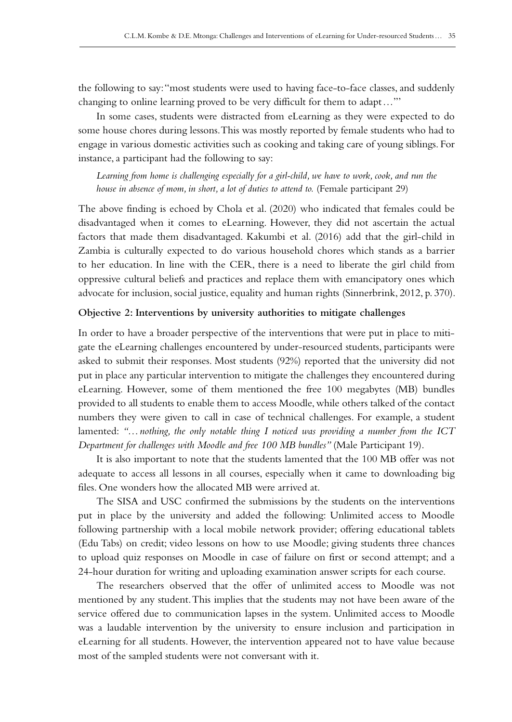the following to say: "most students were used to having face-to-face classes, and suddenly changing to online learning proved to be very difficult for them to adapt…"'

In some cases, students were distracted from eLearning as they were expected to do some house chores during lessons. This was mostly reported by female students who had to engage in various domestic activities such as cooking and taking care of young siblings. For instance, a participant had the following to say:

*Learning from home is challenging especially for a girl-child, we have to work, cook, and run the house in absence of mom, in short, a lot of duties to attend to.* (Female participant 29)

The above finding is echoed by Chola et al. (2020) who indicated that females could be disadvantaged when it comes to eLearning. However, they did not ascertain the actual factors that made them disadvantaged. Kakumbi et al. (2016) add that the girl-child in Zambia is culturally expected to do various household chores which stands as a barrier to her education. In line with the CER, there is a need to liberate the girl child from oppressive cultural beliefs and practices and replace them with emancipatory ones which advocate for inclusion, social justice, equality and human rights (Sinnerbrink, 2012, p. 370).

#### **Objective 2: Interventions by university authorities to mitigate challenges**

In order to have a broader perspective of the interventions that were put in place to mitigate the eLearning challenges encountered by under-resourced students, participants were asked to submit their responses. Most students (92%) reported that the university did not put in place any particular intervention to mitigate the challenges they encountered during eLearning. However, some of them mentioned the free 100 megabytes (MB) bundles provided to all students to enable them to access Moodle, while others talked of the contact numbers they were given to call in case of technical challenges. For example, a student lamented: *"…nothing, the only notable thing I noticed was providing a number from the ICT Department for challenges with Moodle and free 100 MB bundles"* (Male Participant 19).

It is also important to note that the students lamented that the 100 MB offer was not adequate to access all lessons in all courses, especially when it came to downloading big files. One wonders how the allocated MB were arrived at.

The SISA and USC confirmed the submissions by the students on the interventions put in place by the university and added the following: Unlimited access to Moodle following partnership with a local mobile network provider; offering educational tablets (Edu Tabs) on credit; video lessons on how to use Moodle; giving students three chances to upload quiz responses on Moodle in case of failure on first or second attempt; and a 24‑hour duration for writing and uploading examination answer scripts for each course.

The researchers observed that the offer of unlimited access to Moodle was not mentioned by any student. This implies that the students may not have been aware of the service offered due to communication lapses in the system. Unlimited access to Moodle was a laudable intervention by the university to ensure inclusion and participation in eLearning for all students. However, the intervention appeared not to have value because most of the sampled students were not conversant with it.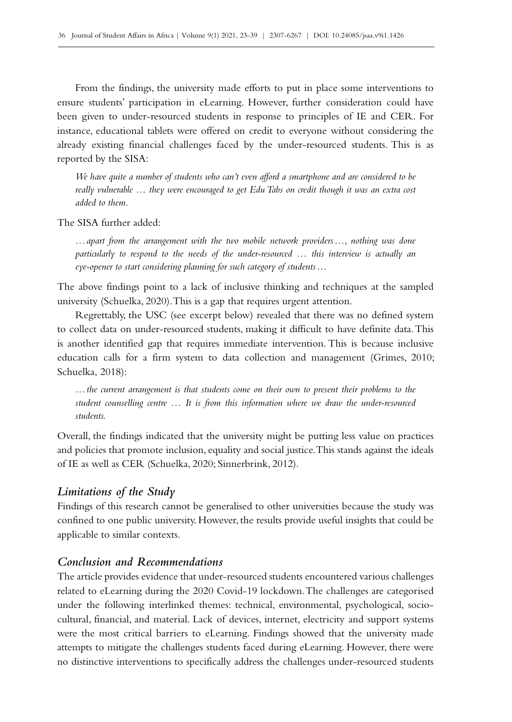From the findings, the university made efforts to put in place some interventions to ensure students' participation in eLearning. However, further consideration could have been given to under-resourced students in response to principles of IE and CER. For instance, educational tablets were offered on credit to everyone without considering the already existing financial challenges faced by the under-resourced students. This is as reported by the SISA:

*We have quite a number of students who can't even afford a smartphone and are considered to be really vulnerable … they were encouraged to get Edu Tabs on credit though it was an extra cost added to them.*

The SISA further added:

*…apart from the arrangement with the two mobile network providers…, nothing was done particularly to respond to the needs of the under-resourced … this interview is actually an eye-opener to start considering planning for such category of students…*

The above findings point to a lack of inclusive thinking and techniques at the sampled university (Schuelka, 2020). This is a gap that requires urgent attention.

Regrettably, the USC (see excerpt below) revealed that there was no defined system to collect data on under-resourced students, making it difficult to have definite data. This is another identified gap that requires immediate intervention. This is because inclusive education calls for a firm system to data collection and management (Grimes, 2010; Schuelka, 2018):

*…the current arrangement is that students come on their own to present their problems to the student counselling centre … It is from this information where we draw the under-resourced students.* 

Overall, the findings indicated that the university might be putting less value on practices and policies that promote inclusion, equality and social justice. This stands against the ideals of IE as well as CER (Schuelka, 2020; Sinnerbrink, 2012).

## *Limitations of the Study*

Findings of this research cannot be generalised to other universities because the study was confined to one public university. However, the results provide useful insights that could be applicable to similar contexts.

# *Conclusion and Recommendations*

The article provides evidence that under-resourced students encountered various challenges related to eLearning during the 2020 Covid‑19 lockdown. The challenges are categorised under the following interlinked themes: technical, environmental, psychological, sociocultural, financial, and material. Lack of devices, internet, electricity and support systems were the most critical barriers to eLearning. Findings showed that the university made attempts to mitigate the challenges students faced during eLearning. However, there were no distinctive interventions to specifically address the challenges under-resourced students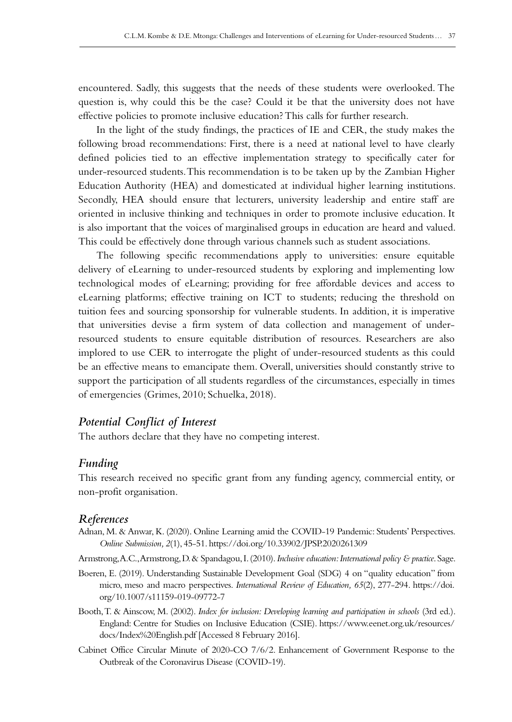encountered. Sadly, this suggests that the needs of these students were overlooked. The question is, why could this be the case? Could it be that the university does not have effective policies to promote inclusive education? This calls for further research.

In the light of the study findings, the practices of IE and CER, the study makes the following broad recommendations: First, there is a need at national level to have clearly defined policies tied to an effective implementation strategy to specifically cater for under-resourced students. This recommendation is to be taken up by the Zambian Higher Education Authority (HEA) and domesticated at individual higher learning institutions. Secondly, HEA should ensure that lecturers, university leadership and entire staff are oriented in inclusive thinking and techniques in order to promote inclusive education. It is also important that the voices of marginalised groups in education are heard and valued. This could be effectively done through various channels such as student associations.

The following specific recommendations apply to universities: ensure equitable delivery of eLearning to under-resourced students by exploring and implementing low technological modes of eLearning; providing for free affordable devices and access to eLearning platforms; effective training on ICT to students; reducing the threshold on tuition fees and sourcing sponsorship for vulnerable students. In addition, it is imperative that universities devise a firm system of data collection and management of underresourced students to ensure equitable distribution of resources. Researchers are also implored to use CER to interrogate the plight of under-resourced students as this could be an effective means to emancipate them. Overall, universities should constantly strive to support the participation of all students regardless of the circumstances, especially in times of emergencies (Grimes, 2010; Schuelka, 2018).

# *Potential Conflict of Interest*

The authors declare that they have no competing interest.

# *Funding*

This research received no specific grant from any funding agency, commercial entity, or non‑profit organisation.

#### *References*

- Adnan, M. & Anwar, K. (2020). Online Learning amid the COVID-19 Pandemic: Students' Perspectives. *Online Submission, 2*(1), 45‑51. <https://doi.org/10.33902/JPSP.2020261309>
- Armstrong, A.C., Armstrong, D. & Spandagou, I. (2010). *Inclusive education: International policy & practice*. Sage.
- Boeren, E. (2019). Understanding Sustainable Development Goal (SDG) 4 on "quality education" from micro, meso and macro perspectives. *International Review of Education, 65*(2), 277‑294. [https://doi.](https://doi.org/10.1007/s11159-019-09772-7) [org/10.1007/s11159-019-09772-7](https://doi.org/10.1007/s11159-019-09772-7)
- Booth, T. & Ainscow, M. (2002). *Index for inclusion: Developing learning and participation in schools* (3rd ed.). England: Centre for Studies on Inclusive Education (CSIE). [https://www.eenet.org.uk/resources/](https://www.eenet.org.uk/resources/docs/Index%20English.pdf) [docs/Index%20English.pdf](https://www.eenet.org.uk/resources/docs/Index%20English.pdf) [Accessed 8 February 2016].
- Cabinet Office Circular Minute of 2020-CO 7/6/2. Enhancement of Government Response to the Outbreak of the Coronavirus Disease (COVID-19).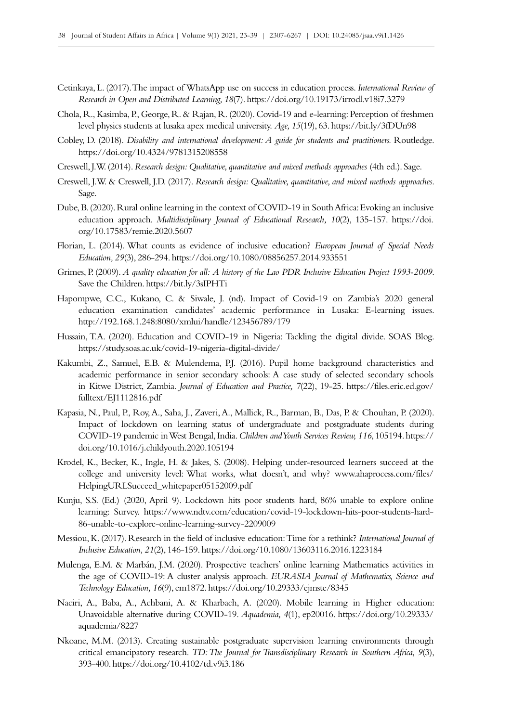- Cetinkaya, L. (2017). The impact of WhatsApp use on success in education process. *International Review of Research in Open and Distributed Learning, 18*(7).<https://doi.org/10.19173/irrodl.v18i7.3279>
- Chola, R., Kasimba, P., George, R. & Rajan, R. (2020). Covid-19 and e-learning: Perception of freshmen level physics students at lusaka apex medical university. *Age, 15*(19), 63.<https://bit.ly/3fDUn98>
- Cobley, D. (2018). *Disability and international development: A guide for students and practitioners.* Routledge. <https://doi.org/10.4324/9781315208558>
- Creswell, J.W. (2014). *Research design: Qualitative, quantitative and mixed methods approaches* (4th ed.). Sage.
- Creswell, J.W. & Creswell, J.D. (2017). *Research design: Qualitative, quantitative, and mixed methods approaches*. Sage.
- Dube, B. (2020). Rural online learning in the context of COVID-19 in South Africa: Evoking an inclusive education approach. *Multidisciplinary Journal of Educational Research, 10(2)*, 135-157. [https://doi.](https://doi.org/10.17583/remie.2020.5607) [org/10.17583/remie.2020.5607](https://doi.org/10.17583/remie.2020.5607)
- Florian, L. (2014). What counts as evidence of inclusive education? *European Journal of Special Needs Education, 29*(3), 286‑294. <https://doi.org/10.1080/08856257.2014.933551>
- Grimes, P. (2009). *A quality education for all: A history of the Lao PDR Inclusive Education Project 1993-2009*. Save the Children.<https://bit.ly/3sIPHTi>
- Hapompwe, C.C., Kukano, C. & Siwale, J. (nd). Impact of Covid-19 on Zambia's 2020 general education examination candidates' academic performance in Lusaka: E‑learning issues. <http://192.168.1.248:8080/xmlui/handle/123456789/179>
- Hussain, T.A. (2020). Education and COVID-19 in Nigeria: Tackling the digital divide. SOAS Blog. <https://study.soas.ac.uk/covid-19-nigeria-digital-divide/>
- Kakumbi, Z., Samuel, E.B. & Mulendema, P.J. (2016). Pupil home background characteristics and academic performance in senior secondary schools: A case study of selected secondary schools in Kitwe District, Zambia. *Journal of Education and Practice, 7*(22), 19‑25. [https://files.eric.ed.gov/](https://files.eric.ed.gov/fulltext/EJ1112816.pdf) [fulltext/EJ1112816.pdf](https://files.eric.ed.gov/fulltext/EJ1112816.pdf)
- Kapasia, N., Paul, P., Roy, A., Saha, J., Zaveri, A., Mallick, R., Barman, B., Das, P. & Chouhan, P. (2020). Impact of lockdown on learning status of undergraduate and postgraduate students during COVID‑19 pandemic in West Bengal, India. *Children and Youth Services Review, 116*, 105194. [https://](https://doi.org/10.1016/j.childyouth.2020.105194) [doi.org/10.1016/j.childyouth.2020.105194](https://doi.org/10.1016/j.childyouth.2020.105194)
- Krodel, K., Becker, K., Ingle, H. & Jakes, S. (2008). Helping under-resourced learners succeed at the college and university level: What works, what doesn't, and why? [www.ahaprocess.com/files/](http://www.ahaprocess.com/files/HelpingURLSucceed_whitepaper05152009.pdf) [HelpingURLSucceed\\_whitepaper05152009.pdf](http://www.ahaprocess.com/files/HelpingURLSucceed_whitepaper05152009.pdf)
- Kunju, S.S. (Ed.) (2020, April 9). Lockdown hits poor students hard, 86% unable to explore online learning: Survey. [https://www.ndtv.com/education/covid-19-lockdown-hits-poor-students-hard-](https://www.ndtv.com/education/covid-19-lockdown-hits-poor-students-hard-86-unable-to-explore-online)[86-unable-to-explore-online‑learning-survey-2209009](https://www.ndtv.com/education/covid-19-lockdown-hits-poor-students-hard-86-unable-to-explore-online)
- Messiou, K. (2017). Research in the field of inclusive education: Time for a rethink? *International Journal of Inclusive Education, 21*(2), 146‑159. <https://doi.org/10.1080/13603116.2016.1223184>
- Mulenga, E.M. & Marbán, J.M. (2020). Prospective teachers' online learning Mathematics activities in the age of COVID‑19: A cluster analysis approach. *EURASIA Journal of Mathematics, Science and Technology Education, 16*(9), em1872.<https://doi.org/10.29333/ejmste/8345>
- Naciri, A., Baba, A., Achbani, A. & Kharbach, A. (2020). Mobile learning in Higher education: Unavoidable alternative during COVID‑19. *Aquademia, 4*(1), ep20016. [https://doi.org/10.29333/](https://doi.org/10.29333/aquademia/8227) [aquademia/8227](https://doi.org/10.29333/aquademia/8227)
- Nkoane, M.M. (2013). Creating sustainable postgraduate supervision learning environments through critical emancipatory research. *TD: The Journal for Transdisciplinary Research in Southern Africa, 9*(3), 393‑400.<https://doi.org/10.4102/td.v9i3.186>